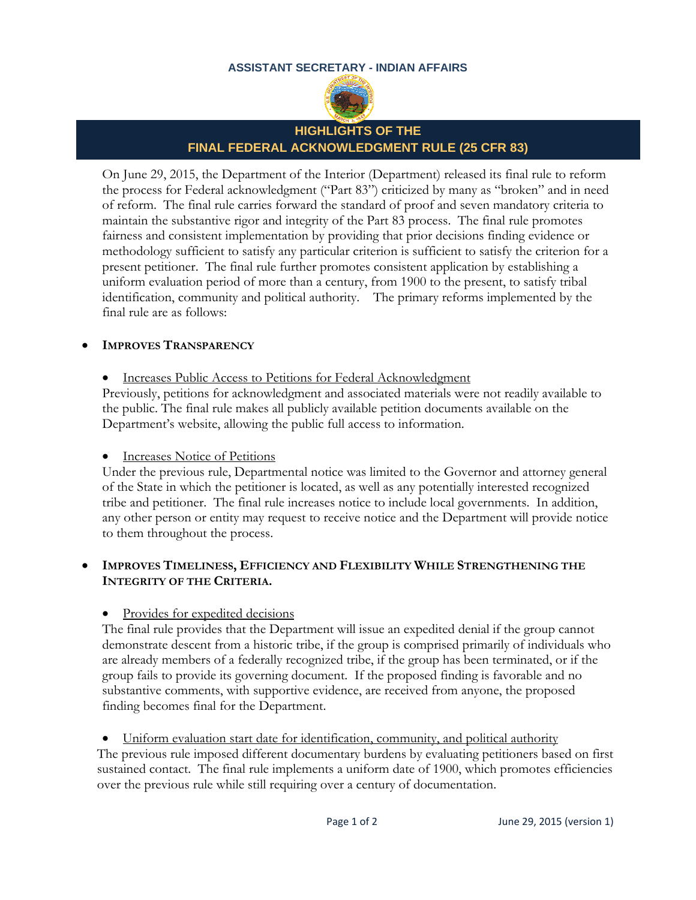#### **ASSISTANT SECRETARY - INDIAN AFFAIRS**



# **HIGHLIGHTS OF THE FINAL FEDERAL ACKNOWLEDGMENT RULE (25 CFR 83)**

On June 29, 2015, the Department of the Interior (Department) released its final rule to reform the process for Federal acknowledgment ("Part 83") criticized by many as "broken" and in need of reform. The final rule carries forward the standard of proof and seven mandatory criteria to maintain the substantive rigor and integrity of the Part 83 process. The final rule promotes fairness and consistent implementation by providing that prior decisions finding evidence or methodology sufficient to satisfy any particular criterion is sufficient to satisfy the criterion for a present petitioner. The final rule further promotes consistent application by establishing a uniform evaluation period of more than a century, from 1900 to the present, to satisfy tribal identification, community and political authority. The primary reforms implemented by the final rule are as follows:

#### **IMPROVES TRANSPARENCY**

• Increases Public Access to Petitions for Federal Acknowledgment

Previously, petitions for acknowledgment and associated materials were not readily available to the public. The final rule makes all publicly available petition documents available on the Department's website, allowing the public full access to information.

#### • Increases Notice of Petitions

Under the previous rule, Departmental notice was limited to the Governor and attorney general of the State in which the petitioner is located, as well as any potentially interested recognized tribe and petitioner. The final rule increases notice to include local governments. In addition, any other person or entity may request to receive notice and the Department will provide notice to them throughout the process.

#### **IMPROVES TIMELINESS, EFFICIENCY AND FLEXIBILITY WHILE STRENGTHENING THE INTEGRITY OF THE CRITERIA.**

Provides for expedited decisions

The final rule provides that the Department will issue an expedited denial if the group cannot demonstrate descent from a historic tribe, if the group is comprised primarily of individuals who are already members of a federally recognized tribe, if the group has been terminated, or if the group fails to provide its governing document. If the proposed finding is favorable and no substantive comments, with supportive evidence, are received from anyone, the proposed finding becomes final for the Department.

 Uniform evaluation start date for identification, community, and political authority The previous rule imposed different documentary burdens by evaluating petitioners based on first sustained contact. The final rule implements a uniform date of 1900, which promotes efficiencies over the previous rule while still requiring over a century of documentation.